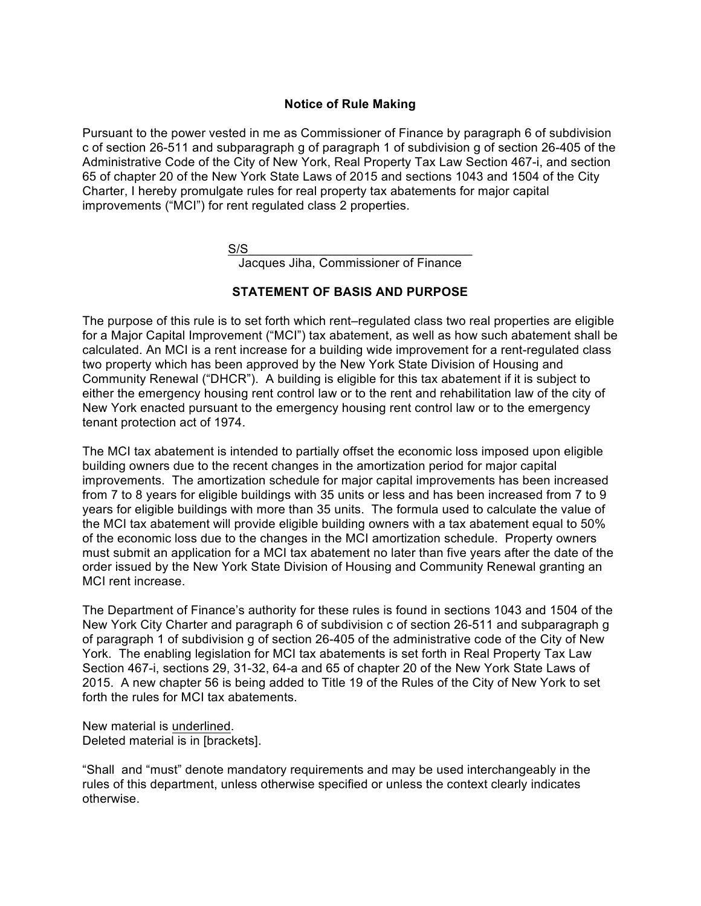#### **Notice of Rule Making**

Pursuant to the power vested in me as Commissioner of Finance by paragraph 6 of subdivision c of section 26-511 and subparagraph g of paragraph 1 of subdivision g of section 26-405 of the Administrative Code of the City of New York, Real Property Tax Law Section 467-i, and section 65 of chapter 20 of the New York State Laws of 2015 and sections 1043 and 1504 of the City Charter, I hereby promulgate rules for real property tax abatements for major capital improvements ("MCI") for rent regulated class 2 properties.

 $S/S$   $\overline{\phantom{a}}$ 

Jacques Jiha, Commissioner of Finance

## **STATEMENT OF BASIS AND PURPOSE**

The purpose of this rule is to set forth which rent–regulated class two real properties are eligible for a Major Capital Improvement ("MCI") tax abatement, as well as how such abatement shall be calculated. An MCI is a rent increase for a building wide improvement for a rent-regulated class two property which has been approved by the New York State Division of Housing and Community Renewal ("DHCR"). A building is eligible for this tax abatement if it is subject to either the emergency housing rent control law or to the rent and rehabilitation law of the city of New York enacted pursuant to the emergency housing rent control law or to the emergency tenant protection act of 1974.

The MCI tax abatement is intended to partially offset the economic loss imposed upon eligible building owners due to the recent changes in the amortization period for major capital improvements. The amortization schedule for major capital improvements has been increased from 7 to 8 years for eligible buildings with 35 units or less and has been increased from 7 to 9 years for eligible buildings with more than 35 units. The formula used to calculate the value of the MCI tax abatement will provide eligible building owners with a tax abatement equal to 50% of the economic loss due to the changes in the MCI amortization schedule. Property owners must submit an application for a MCI tax abatement no later than five years after the date of the order issued by the New York State Division of Housing and Community Renewal granting an MCI rent increase.

The Department of Finance's authority for these rules is found in sections 1043 and 1504 of the New York City Charter and paragraph 6 of subdivision c of section 26-511 and subparagraph g of paragraph 1 of subdivision g of section 26-405 of the administrative code of the City of New York. The enabling legislation for MCI tax abatements is set forth in Real Property Tax Law Section 467-i, sections 29, 31-32, 64-a and 65 of chapter 20 of the New York State Laws of 2015. A new chapter 56 is being added to Title 19 of the Rules of the City of New York to set forth the rules for MCI tax abatements.

New material is underlined. Deleted material is in [brackets].

"Shall and "must" denote mandatory requirements and may be used interchangeably in the rules of this department, unless otherwise specified or unless the context clearly indicates otherwise.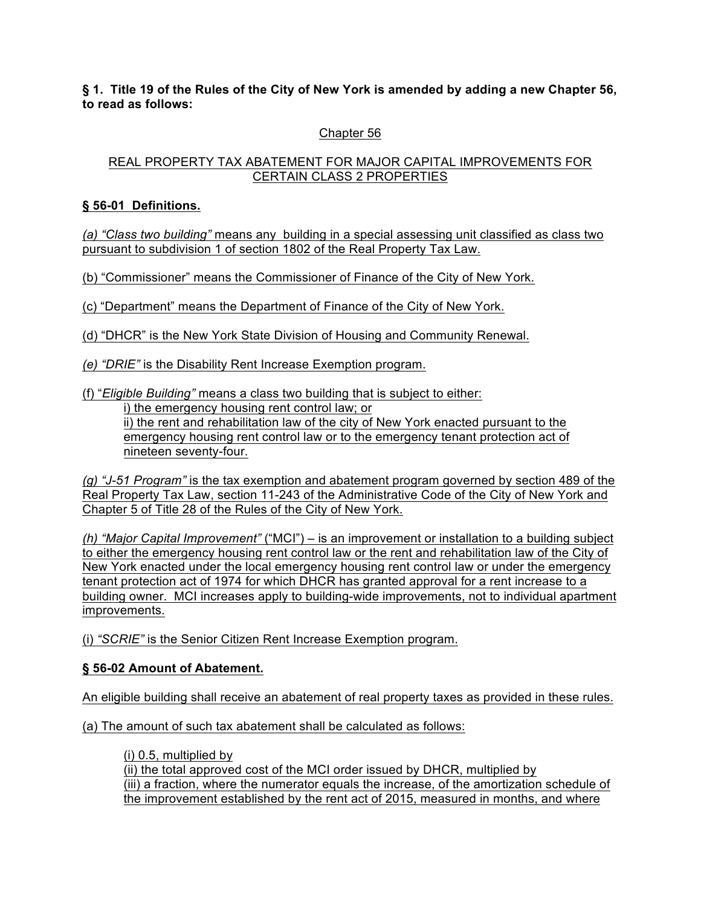**§ 1. Title 19 of the Rules of the City of New York is amended by adding a new Chapter 56, to read as follows:**

# Chapter 56

#### REAL PROPERTY TAX ABATEMENT FOR MAJOR CAPITAL IMPROVEMENTS FOR CERTAIN CLASS 2 PROPERTIES

## **§ 56-01 Definitions.**

*(a) "Class two building"* means any building in a special assessing unit classified as class two pursuant to subdivision 1 of section 1802 of the Real Property Tax Law.

(b) "Commissioner" means the Commissioner of Finance of the City of New York.

(c) "Department" means the Department of Finance of the City of New York.

(d) "DHCR" is the New York State Division of Housing and Community Renewal.

*(e) "DRIE"* is the Disability Rent Increase Exemption program.

(f) "*Eligible Building"* means a class two building that is subject to either:

i) the emergency housing rent control law; or

ii) the rent and rehabilitation law of the city of New York enacted pursuant to the emergency housing rent control law or to the emergency tenant protection act of nineteen seventy-four.

*(g) "J-51 Program"* is the tax exemption and abatement program governed by section 489 of the Real Property Tax Law, section 11-243 of the Administrative Code of the City of New York and Chapter 5 of Title 28 of the Rules of the City of New York.

*(h) "Major Capital Improvement"* ("MCI") – is an improvement or installation to a building subject to either the emergency housing rent control law or the rent and rehabilitation law of the City of New York enacted under the local emergency housing rent control law or under the emergency tenant protection act of 1974 for which DHCR has granted approval for a rent increase to a building owner. MCI increases apply to building-wide improvements, not to individual apartment improvements.

(i) *"SCRIE"* is the Senior Citizen Rent Increase Exemption program.

## **§ 56-02 Amount of Abatement.**

An eligible building shall receive an abatement of real property taxes as provided in these rules.

(a) The amount of such tax abatement shall be calculated as follows:

(i) 0.5, multiplied by (ii) the total approved cost of the MCI order issued by DHCR, multiplied by (iii) a fraction, where the numerator equals the increase, of the amortization schedule of the improvement established by the rent act of 2015, measured in months, and where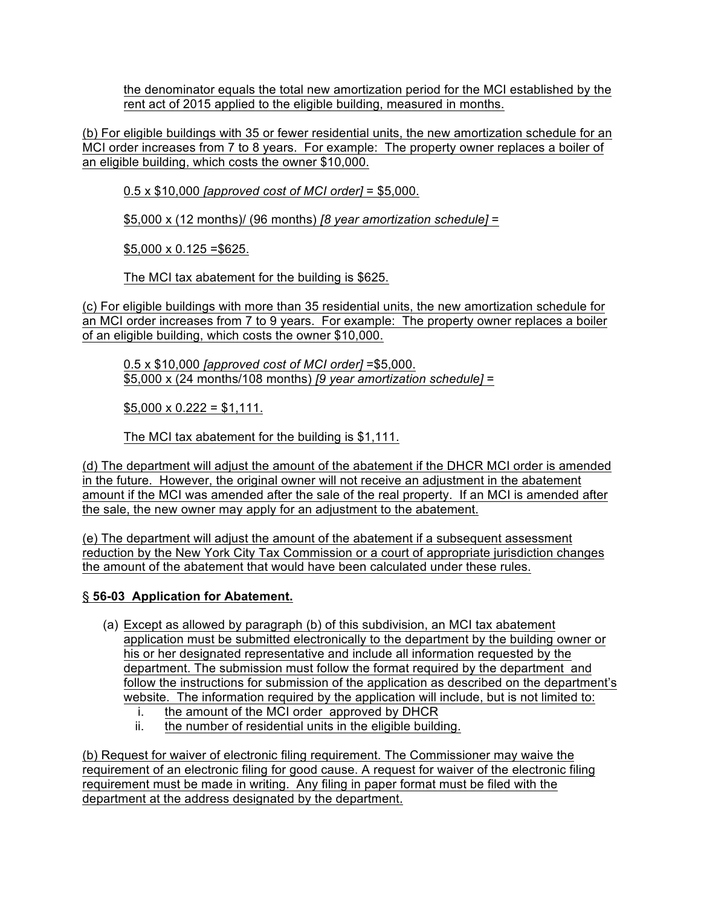the denominator equals the total new amortization period for the MCI established by the rent act of 2015 applied to the eligible building, measured in months.

(b) For eligible buildings with 35 or fewer residential units, the new amortization schedule for an MCI order increases from 7 to 8 years. For example: The property owner replaces a boiler of an eligible building, which costs the owner \$10,000.

0.5 x \$10,000 *[approved cost of MCI order]* = \$5,000.

\$5,000 x (12 months)/ (96 months) *[8 year amortization schedule]* =

 $$5,000 \times 0.125 = $625.$ 

The MCI tax abatement for the building is \$625.

(c) For eligible buildings with more than 35 residential units, the new amortization schedule for an MCI order increases from 7 to 9 years. For example: The property owner replaces a boiler of an eligible building, which costs the owner \$10,000.

0.5 x \$10,000 *[approved cost of MCI order]* =\$5,000. \$5,000 x (24 months/108 months) *[9 year amortization schedule]* =

 $$5,000 \times 0.222 = $1,111$ .

The MCI tax abatement for the building is \$1,111.

(d) The department will adjust the amount of the abatement if the DHCR MCI order is amended in the future. However, the original owner will not receive an adjustment in the abatement amount if the MCI was amended after the sale of the real property. If an MCI is amended after the sale, the new owner may apply for an adjustment to the abatement.

(e) The department will adjust the amount of the abatement if a subsequent assessment reduction by the New York City Tax Commission or a court of appropriate jurisdiction changes the amount of the abatement that would have been calculated under these rules.

## § **56-03 Application for Abatement.**

- (a) Except as allowed by paragraph (b) of this subdivision, an MCI tax abatement application must be submitted electronically to the department by the building owner or his or her designated representative and include all information requested by the department. The submission must follow the format required by the department and follow the instructions for submission of the application as described on the department's website. The information required by the application will include, but is not limited to:
	- i. the amount of the MCI order approved by DHCR
	- ii. the number of residential units in the eligible building.

(b) Request for waiver of electronic filing requirement. The Commissioner may waive the requirement of an electronic filing for good cause. A request for waiver of the electronic filing requirement must be made in writing. Any filing in paper format must be filed with the department at the address designated by the department.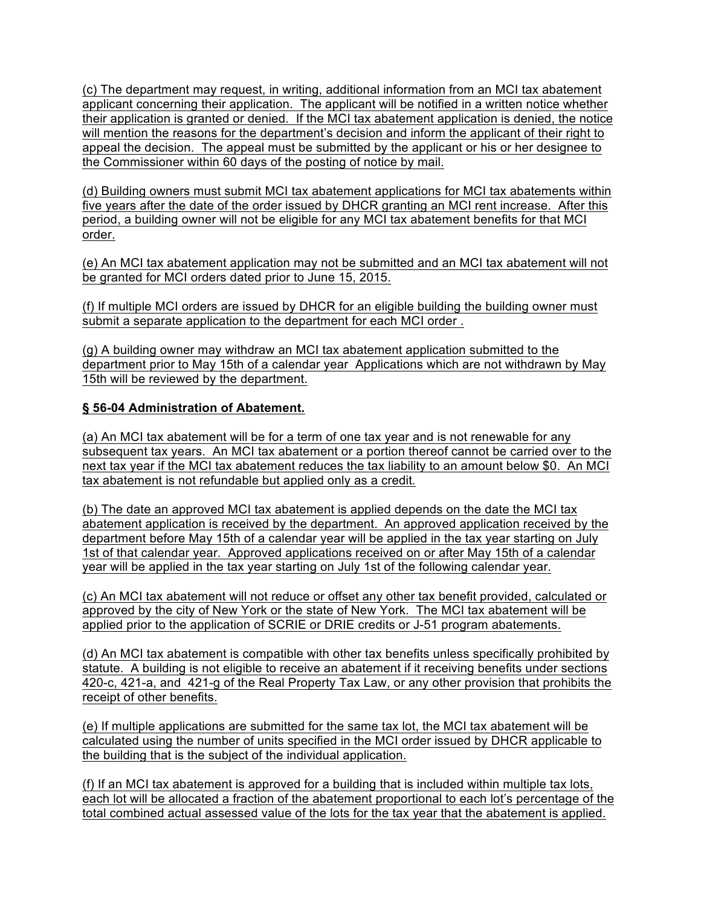(c) The department may request, in writing, additional information from an MCI tax abatement applicant concerning their application. The applicant will be notified in a written notice whether their application is granted or denied. If the MCI tax abatement application is denied, the notice will mention the reasons for the department's decision and inform the applicant of their right to appeal the decision. The appeal must be submitted by the applicant or his or her designee to the Commissioner within 60 days of the posting of notice by mail.

(d) Building owners must submit MCI tax abatement applications for MCI tax abatements within five years after the date of the order issued by DHCR granting an MCI rent increase. After this period, a building owner will not be eligible for any MCI tax abatement benefits for that MCI order.

(e) An MCI tax abatement application may not be submitted and an MCI tax abatement will not be granted for MCI orders dated prior to June 15, 2015.

(f) If multiple MCI orders are issued by DHCR for an eligible building the building owner must submit a separate application to the department for each MCI order .

(g) A building owner may withdraw an MCI tax abatement application submitted to the department prior to May 15th of a calendar year Applications which are not withdrawn by May 15th will be reviewed by the department.

## **§ 56-04 Administration of Abatement.**

(a) An MCI tax abatement will be for a term of one tax year and is not renewable for any subsequent tax years. An MCI tax abatement or a portion thereof cannot be carried over to the next tax year if the MCI tax abatement reduces the tax liability to an amount below \$0. An MCI tax abatement is not refundable but applied only as a credit.

(b) The date an approved MCI tax abatement is applied depends on the date the MCI tax abatement application is received by the department. An approved application received by the department before May 15th of a calendar year will be applied in the tax year starting on July 1st of that calendar year. Approved applications received on or after May 15th of a calendar year will be applied in the tax year starting on July 1st of the following calendar year.

(c) An MCI tax abatement will not reduce or offset any other tax benefit provided, calculated or approved by the city of New York or the state of New York. The MCI tax abatement will be applied prior to the application of SCRIE or DRIE credits or J-51 program abatements.

(d) An MCI tax abatement is compatible with other tax benefits unless specifically prohibited by statute. A building is not eligible to receive an abatement if it receiving benefits under sections 420-c, 421-a, and 421-g of the Real Property Tax Law, or any other provision that prohibits the receipt of other benefits.

(e) If multiple applications are submitted for the same tax lot, the MCI tax abatement will be calculated using the number of units specified in the MCI order issued by DHCR applicable to the building that is the subject of the individual application.

(f) If an MCI tax abatement is approved for a building that is included within multiple tax lots, each lot will be allocated a fraction of the abatement proportional to each lot's percentage of the total combined actual assessed value of the lots for the tax year that the abatement is applied.